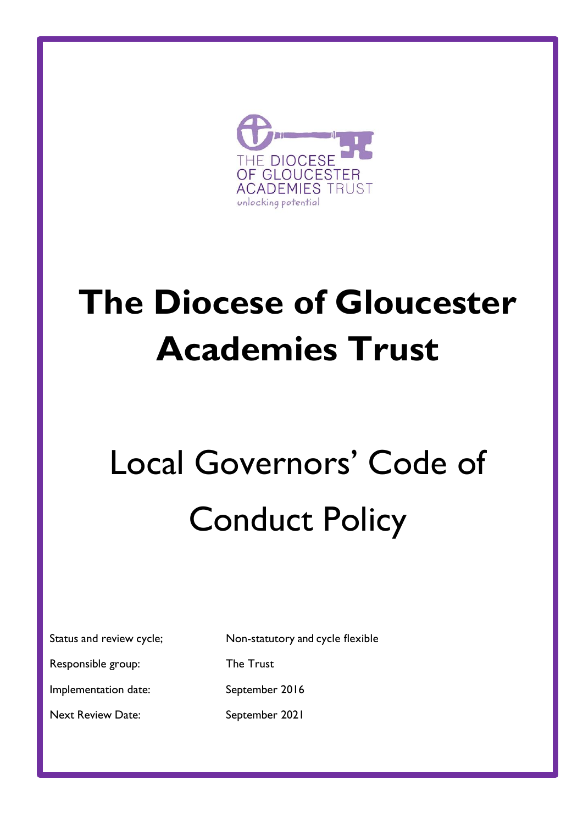

# **The Diocese of Gloucester Academies Trust**

# Local Governors' Code of Conduct Policy

|  |  | Status and review cycle; |  |  |
|--|--|--------------------------|--|--|
|--|--|--------------------------|--|--|

Responsible group: The Trust

Non-statutory and cycle flexible

Implementation date: September 2016

Next Review Date: September 2021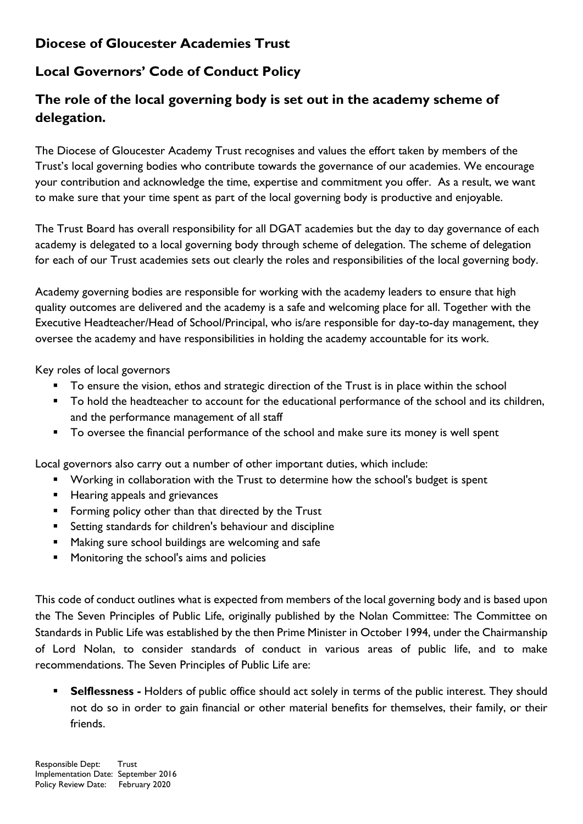# **Diocese of Gloucester Academies Trust**

# **Local Governors' Code of Conduct Policy**

# **The role of the local governing body is set out in the academy scheme of delegation.**

The Diocese of Gloucester Academy Trust recognises and values the effort taken by members of the Trust's local governing bodies who contribute towards the governance of our academies. We encourage your contribution and acknowledge the time, expertise and commitment you offer. As a result, we want to make sure that your time spent as part of the local governing body is productive and enjoyable.

The Trust Board has overall responsibility for all DGAT academies but the day to day governance of each academy is delegated to a local governing body through scheme of delegation. The scheme of delegation for each of our Trust academies sets out clearly the roles and responsibilities of the local governing body.

Academy governing bodies are responsible for working with the academy leaders to ensure that high quality outcomes are delivered and the academy is a safe and welcoming place for all. Together with the Executive Headteacher/Head of School/Principal, who is/are responsible for day-to-day management, they oversee the academy and have responsibilities in holding the academy accountable for its work.

Key roles of local governors

- To ensure the vision, ethos and strategic direction of the Trust is in place within the school
- To hold the headteacher to account for the educational performance of the school and its children, and the performance management of all staff
- To oversee the financial performance of the school and make sure its money is well spent

Local governors also carry out a number of other important duties, which include:

- Working in collaboration with the Trust to determine how the school's budget is spent
- Hearing appeals and grievances
- Forming policy other than that directed by the Trust
- Setting standards for children's behaviour and discipline
- Making sure school buildings are welcoming and safe
- Monitoring the school's aims and policies

This code of conduct outlines what is expected from members of the local governing body and is based upon the The Seven Principles of Public Life, originally published by the Nolan Committee: The Committee on Standards in Public Life was established by the then Prime Minister in October 1994, under the Chairmanship of Lord Nolan, to consider standards of conduct in various areas of public life, and to make recommendations. The Seven Principles of Public Life are:

**Selflessness -** Holders of public office should act solely in terms of the public interest. They should not do so in order to gain financial or other material benefits for themselves, their family, or their friends.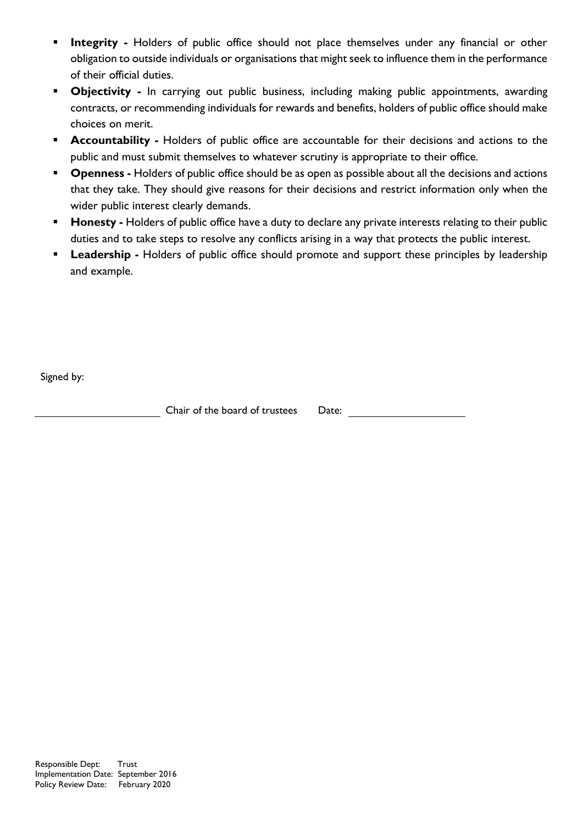- **Integrity** Holders of public office should not place themselves under any financial or other obligation to outside individuals or organisations that might seek to influence them in the performance of their official duties.
- **Objectivity -** In carrying out public business, including making public appointments, awarding contracts, or recommending individuals for rewards and benefits, holders of public office should make choices on merit.
- **EXECOUNTABILITY Holders of public office are accountable for their decisions and actions to the** public and must submit themselves to whatever scrutiny is appropriate to their office.
- **Openness -** Holders of public office should be as open as possible about all the decisions and actions that they take. They should give reasons for their decisions and restrict information only when the wider public interest clearly demands.
- **Honesty -** Holders of public office have a duty to declare any private interests relating to their public duties and to take steps to resolve any conflicts arising in a way that protects the public interest.
- **Eadership -** Holders of public office should promote and support these principles by leadership and example.

Signed by:

Chair of the board of trustees Date: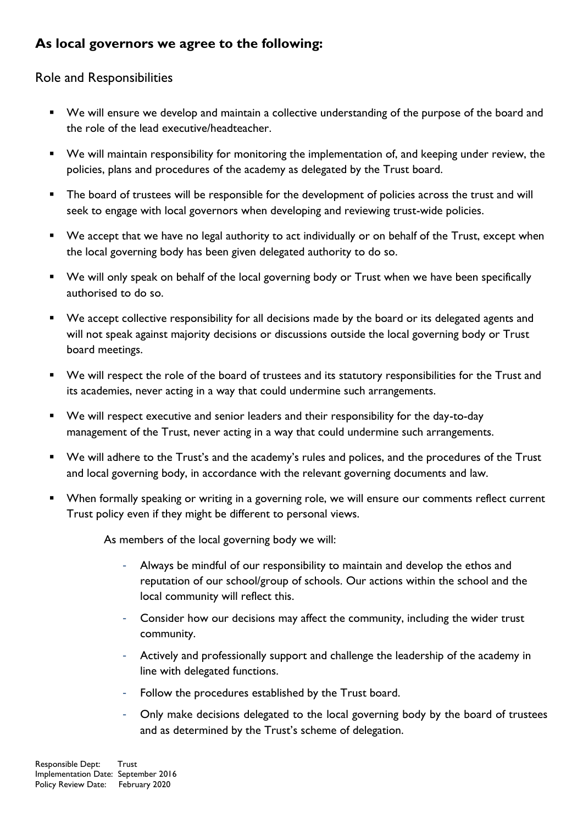# **As local governors we agree to the following:**

#### Role and Responsibilities

- We will ensure we develop and maintain a collective understanding of the purpose of the board and the role of the lead executive/headteacher.
- We will maintain responsibility for monitoring the implementation of, and keeping under review, the policies, plans and procedures of the academy as delegated by the Trust board.
- The board of trustees will be responsible for the development of policies across the trust and will seek to engage with local governors when developing and reviewing trust-wide policies.
- We accept that we have no legal authority to act individually or on behalf of the Trust, except when the local governing body has been given delegated authority to do so.
- We will only speak on behalf of the local governing body or Trust when we have been specifically authorised to do so.
- We accept collective responsibility for all decisions made by the board or its delegated agents and will not speak against majority decisions or discussions outside the local governing body or Trust board meetings.
- We will respect the role of the board of trustees and its statutory responsibilities for the Trust and its academies, never acting in a way that could undermine such arrangements.
- We will respect executive and senior leaders and their responsibility for the day-to-day management of the Trust, never acting in a way that could undermine such arrangements.
- We will adhere to the Trust's and the academy's rules and polices, and the procedures of the Trust and local governing body, in accordance with the relevant governing documents and law.
- When formally speaking or writing in a governing role, we will ensure our comments reflect current Trust policy even if they might be different to personal views.

As members of the local governing body we will:

- Always be mindful of our responsibility to maintain and develop the ethos and reputation of our school/group of schools. Our actions within the school and the local community will reflect this.
- Consider how our decisions may affect the community, including the wider trust community.
- Actively and professionally support and challenge the leadership of the academy in line with delegated functions.
- Follow the procedures established by the Trust board.
- Only make decisions delegated to the local governing body by the board of trustees and as determined by the Trust's scheme of delegation.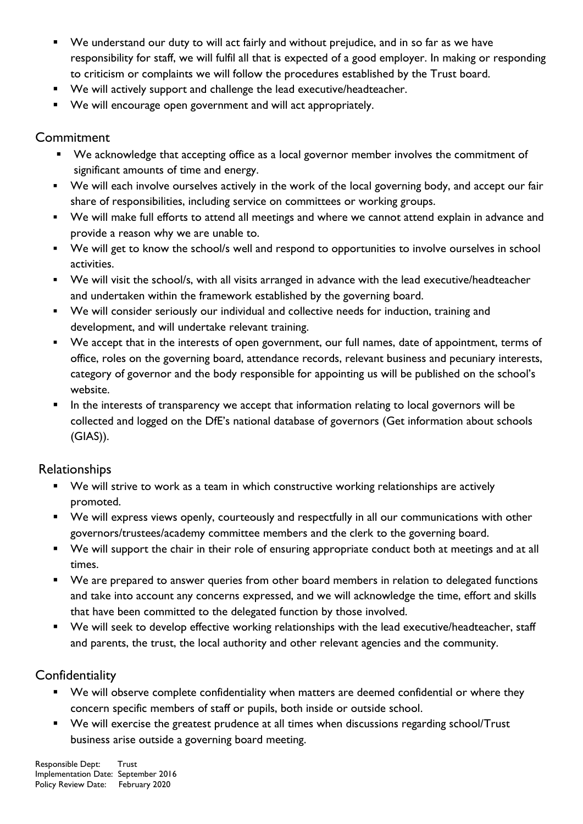- We understand our duty to will act fairly and without prejudice, and in so far as we have responsibility for staff, we will fulfil all that is expected of a good employer. In making or responding to criticism or complaints we will follow the procedures established by the Trust board.
- We will actively support and challenge the lead executive/headteacher.
- We will encourage open government and will act appropriately.

#### **Commitment**

- We acknowledge that accepting office as a local governor member involves the commitment of significant amounts of time and energy.
- We will each involve ourselves actively in the work of the local governing body, and accept our fair share of responsibilities, including service on committees or working groups.
- We will make full efforts to attend all meetings and where we cannot attend explain in advance and provide a reason why we are unable to.
- We will get to know the school/s well and respond to opportunities to involve ourselves in school activities.
- We will visit the school/s, with all visits arranged in advance with the lead executive/headteacher and undertaken within the framework established by the governing board.
- We will consider seriously our individual and collective needs for induction, training and development, and will undertake relevant training.
- We accept that in the interests of open government, our full names, date of appointment, terms of office, roles on the governing board, attendance records, relevant business and pecuniary interests, category of governor and the body responsible for appointing us will be published on the school's website.
- In the interests of transparency we accept that information relating to local governors will be collected and logged on the DfE's national database of governors (Get information about schools (GIAS)).

#### Relationships

- We will strive to work as a team in which constructive working relationships are actively promoted.
- We will express views openly, courteously and respectfully in all our communications with other governors/trustees/academy committee members and the clerk to the governing board.
- We will support the chair in their role of ensuring appropriate conduct both at meetings and at all times.
- We are prepared to answer queries from other board members in relation to delegated functions and take into account any concerns expressed, and we will acknowledge the time, effort and skills that have been committed to the delegated function by those involved.
- We will seek to develop effective working relationships with the lead executive/headteacher, staff and parents, the trust, the local authority and other relevant agencies and the community.

#### **Confidentiality**

- We will observe complete confidentiality when matters are deemed confidential or where they concern specific members of staff or pupils, both inside or outside school.
- We will exercise the greatest prudence at all times when discussions regarding school/Trust business arise outside a governing board meeting.

Responsible Dept: Trust Implementation Date: September 2016 Policy Review Date: February 2020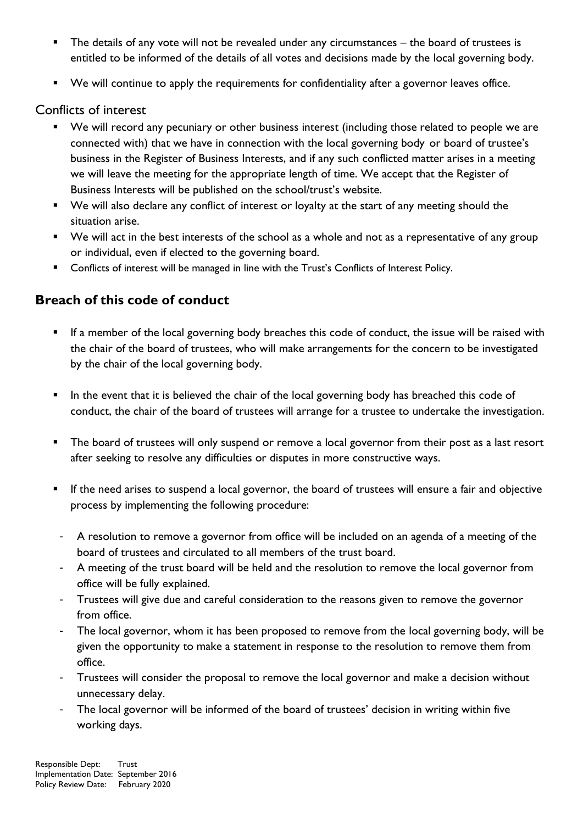- The details of any vote will not be revealed under any circumstances the board of trustees is entitled to be informed of the details of all votes and decisions made by the local governing body.
- We will continue to apply the requirements for confidentiality after a governor leaves office.

#### Conflicts of interest

- We will record any pecuniary or other business interest (including those related to people we are connected with) that we have in connection with the local governing body or board of trustee's business in the Register of Business Interests, and if any such conflicted matter arises in a meeting we will leave the meeting for the appropriate length of time. We accept that the Register of Business Interests will be published on the school/trust's website.
- We will also declare any conflict of interest or loyalty at the start of any meeting should the situation arise.
- We will act in the best interests of the school as a whole and not as a representative of any group or individual, even if elected to the governing board.
- Conflicts of interest will be managed in line with the Trust's Conflicts of Interest Policy.

## **Breach of this code of conduct**

- If a member of the local governing body breaches this code of conduct, the issue will be raised with the chair of the board of trustees, who will make arrangements for the concern to be investigated by the chair of the local governing body.
- In the event that it is believed the chair of the local governing body has breached this code of conduct, the chair of the board of trustees will arrange for a trustee to undertake the investigation.
- The board of trustees will only suspend or remove a local governor from their post as a last resort after seeking to resolve any difficulties or disputes in more constructive ways.
- If the need arises to suspend a local governor, the board of trustees will ensure a fair and objective process by implementing the following procedure:
- A resolution to remove a governor from office will be included on an agenda of a meeting of the board of trustees and circulated to all members of the trust board.
- A meeting of the trust board will be held and the resolution to remove the local governor from office will be fully explained.
- Trustees will give due and careful consideration to the reasons given to remove the governor from office.
- The local governor, whom it has been proposed to remove from the local governing body, will be given the opportunity to make a statement in response to the resolution to remove them from office.
- Trustees will consider the proposal to remove the local governor and make a decision without unnecessary delay.
- The local governor will be informed of the board of trustees' decision in writing within five working days.